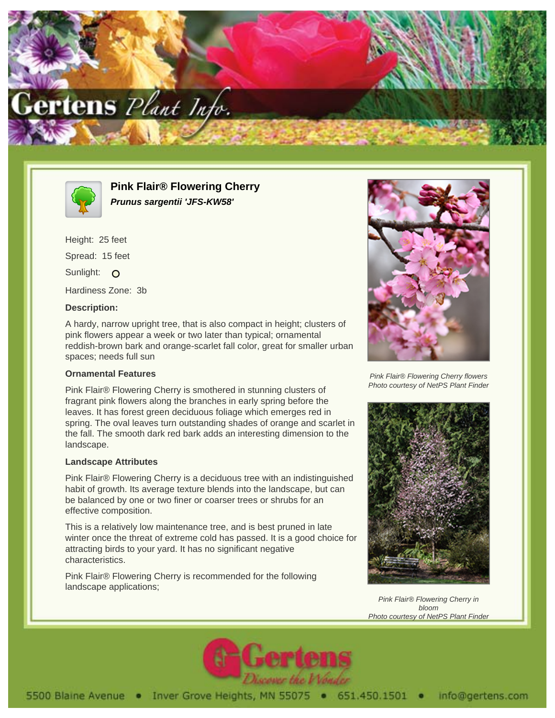



**Pink Flair® Flowering Cherry Prunus sargentii 'JFS-KW58'**

Height: 25 feet Spread: 15 feet Sunlight: O Hardiness Zone: 3b

## **Description:**

A hardy, narrow upright tree, that is also compact in height; clusters of pink flowers appear a week or two later than typical; ornamental reddish-brown bark and orange-scarlet fall color, great for smaller urban spaces; needs full sun

### **Ornamental Features**

Pink Flair® Flowering Cherry is smothered in stunning clusters of fragrant pink flowers along the branches in early spring before the leaves. It has forest green deciduous foliage which emerges red in spring. The oval leaves turn outstanding shades of orange and scarlet in the fall. The smooth dark red bark adds an interesting dimension to the landscape.

#### **Landscape Attributes**

Pink Flair® Flowering Cherry is a deciduous tree with an indistinguished habit of growth. Its average texture blends into the landscape, but can be balanced by one or two finer or coarser trees or shrubs for an effective composition.

This is a relatively low maintenance tree, and is best pruned in late winter once the threat of extreme cold has passed. It is a good choice for attracting birds to your yard. It has no significant negative characteristics.

Pink Flair® Flowering Cherry is recommended for the following landscape applications;



Pink Flair® Flowering Cherry flowers Photo courtesy of NetPS Plant Finder



Pink Flair® Flowering Cherry in bloom Photo courtesy of NetPS Plant Finder